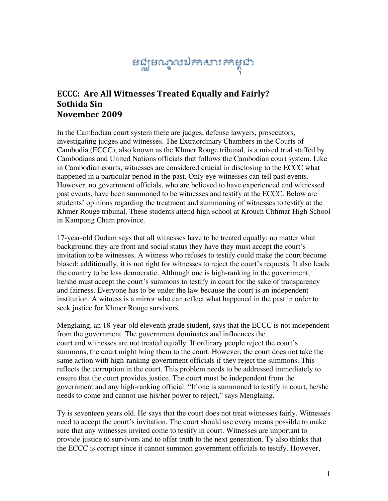## នជ្ឈមណ្ឌលឯកសារកាម្ពុជា

## **ECCC: Are All Witnesses Treated Equally and Fairly? Sothida Sin November 2009**

In the Cambodian court system there are judges, defense lawyers, prosecutors, investigating judges and witnesses. The Extraordinary Chambers in the Courts of Cambodia (ECCC), also known as the Khmer Rouge tribunal, is a mixed trial staffed by Cambodians and United Nations officials that follows the Cambodian court system. Like in Cambodian courts, witnesses are considered crucial in disclosing to the ECCC what happened in a particular period in the past. Only eye witnesses can tell past events. However, no government officials, who are believed to have experienced and witnessed past events, have been summoned to be witnesses and testify at the ECCC. Below are students' opinions regarding the treatment and summoning of witnesses to testify at the Khmer Rouge tribunal. These students attend high school at Krouch Chhmar High School in Kampong Cham province.

17-year-old Oudam says that all witnesses have to be treated equally; no matter what background they are from and social status they have they must accept the court's invitation to be witnesses. A witness who refuses to testify could make the court become biased; additionally, it is not right for witnesses to reject the court's requests. It also leads the country to be less democratic. Although one is high-ranking in the government, he/she must accept the court's summons to testify in court for the sake of transparency and fairness. Everyone has to be under the law because the court is an independent institution. A witness is a mirror who can reflect what happened in the past in order to seek justice for Khmer Rouge survivors.

Menglaing, an 18-year-old eleventh grade student, says that the ECCC is not independent from the government. The government dominates and influences the court and witnesses are not treated equally. If ordinary people reject the court's summons, the court might bring them to the court. However, the court does not take the same action with high-ranking government officials if they reject the summons. This reflects the corruption in the court. This problem needs to be addressed immediately to ensure that the court provides justice. The court must be independent from the government and any high-ranking official. "If one is summoned to testify in court, he/she needs to come and cannot use his/her power to reject," says Menglaing.

Ty is seventeen years old. He says that the court does not treat witnesses fairly. Witnesses need to accept the court's invitation. The court should use every means possible to make sure that any witnesses invited come to testify in court. Witnesses are important to provide justice to survivors and to offer truth to the next generation. Ty also thinks that the ECCC is corrupt since it cannot summon government officials to testify. However,